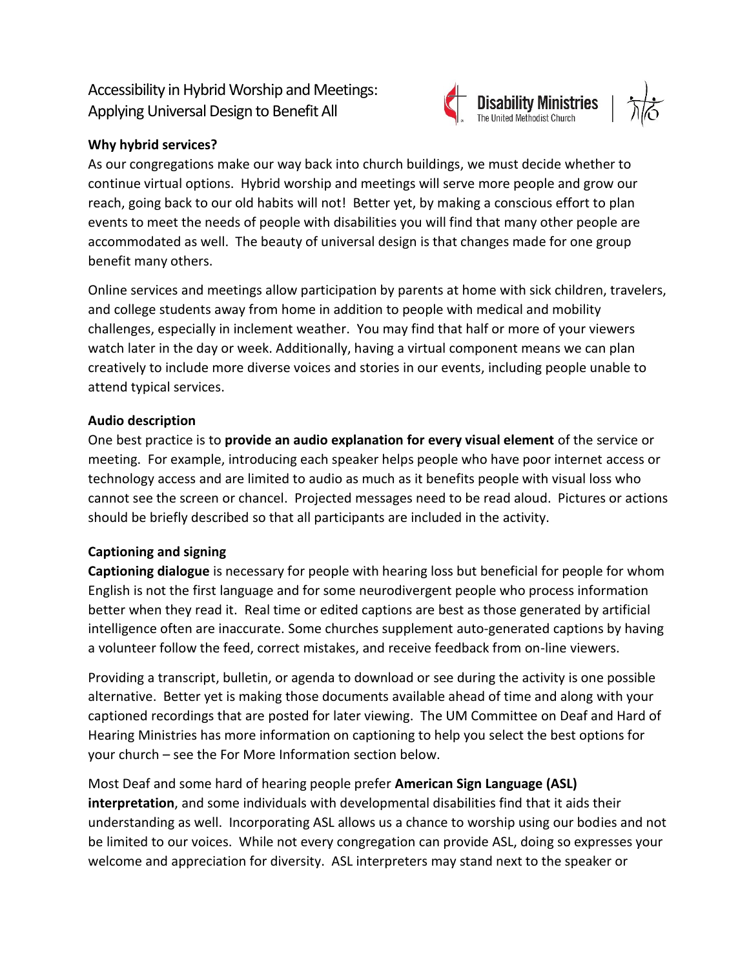# Accessibility in Hybrid Worship and Meetings: Applying Universal Design to Benefit All



## **Why hybrid services?**

As our congregations make our way back into church buildings, we must decide whether to continue virtual options. Hybrid worship and meetings will serve more people and grow our reach, going back to our old habits will not! Better yet, by making a conscious effort to plan events to meet the needs of people with disabilities you will find that many other people are accommodated as well. The beauty of universal design is that changes made for one group benefit many others.

Online services and meetings allow participation by parents at home with sick children, travelers, and college students away from home in addition to people with medical and mobility challenges, especially in inclement weather. You may find that half or more of your viewers watch later in the day or week. Additionally, having a virtual component means we can plan creatively to include more diverse voices and stories in our events, including people unable to attend typical services.

### **Audio description**

One best practice is to **provide an audio explanation for every visual element** of the service or meeting. For example, introducing each speaker helps people who have poor internet access or technology access and are limited to audio as much as it benefits people with visual loss who cannot see the screen or chancel. Projected messages need to be read aloud. Pictures or actions should be briefly described so that all participants are included in the activity.

### **Captioning and signing**

**Captioning dialogue** is necessary for people with hearing loss but beneficial for people for whom English is not the first language and for some neurodivergent people who process information better when they read it. Real time or edited captions are best as those generated by artificial intelligence often are inaccurate. Some churches supplement auto-generated captions by having a volunteer follow the feed, correct mistakes, and receive feedback from on-line viewers.

Providing a transcript, bulletin, or agenda to download or see during the activity is one possible alternative. Better yet is making those documents available ahead of time and along with your captioned recordings that are posted for later viewing. The UM Committee on Deaf and Hard of Hearing Ministries has more information on captioning to help you select the best options for your church – see the For More Information section below.

Most Deaf and some hard of hearing people prefer **American Sign Language (ASL) interpretation**, and some individuals with developmental disabilities find that it aids their understanding as well. Incorporating ASL allows us a chance to worship using our bodies and not be limited to our voices. While not every congregation can provide ASL, doing so expresses your welcome and appreciation for diversity. ASL interpreters may stand next to the speaker or